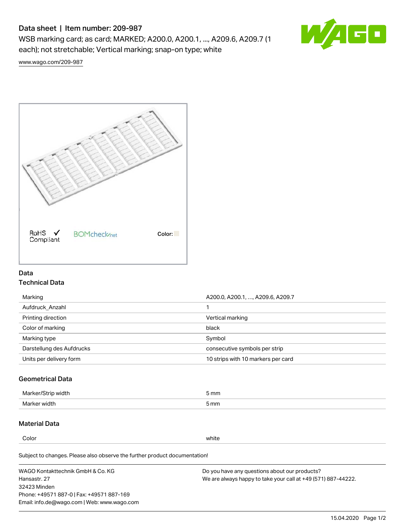# Data sheet | Item number: 209-987

WSB marking card; as card; MARKED; A200.0, A200.1, ..., A209.6, A209.7 (1 each); not stretchable; Vertical marking; snap-on type; white



[www.wago.com/209-987](http://www.wago.com/209-987)



## Data Technical Data

| Marking                   | A200.0, A200.1, , A209.6, A209.7   |
|---------------------------|------------------------------------|
| Aufdruck Anzahl           |                                    |
| Printing direction        | Vertical marking                   |
| Color of marking          | black                              |
| Marking type              | Symbol                             |
| Darstellung des Aufdrucks | consecutive symbols per strip      |
| Units per delivery form   | 10 strips with 10 markers per card |

## Geometrical Data

| طلقاء ئ<br><b>Marker</b><br>widtr | ັກmm |
|-----------------------------------|------|
| Marker width                      | 5 mm |

## Material Data

Color white

Subject to changes. Please also observe the further product documentation!

WAGO Kontakttechnik GmbH & Co. KG Hansastr. 27 32423 Minden Phone: +49571 887-0 | Fax: +49571 887-169 Email: info.de@wago.com | Web: www.wago.com Do you have any questions about our products? We are always happy to take your call at +49 (571) 887-44222.